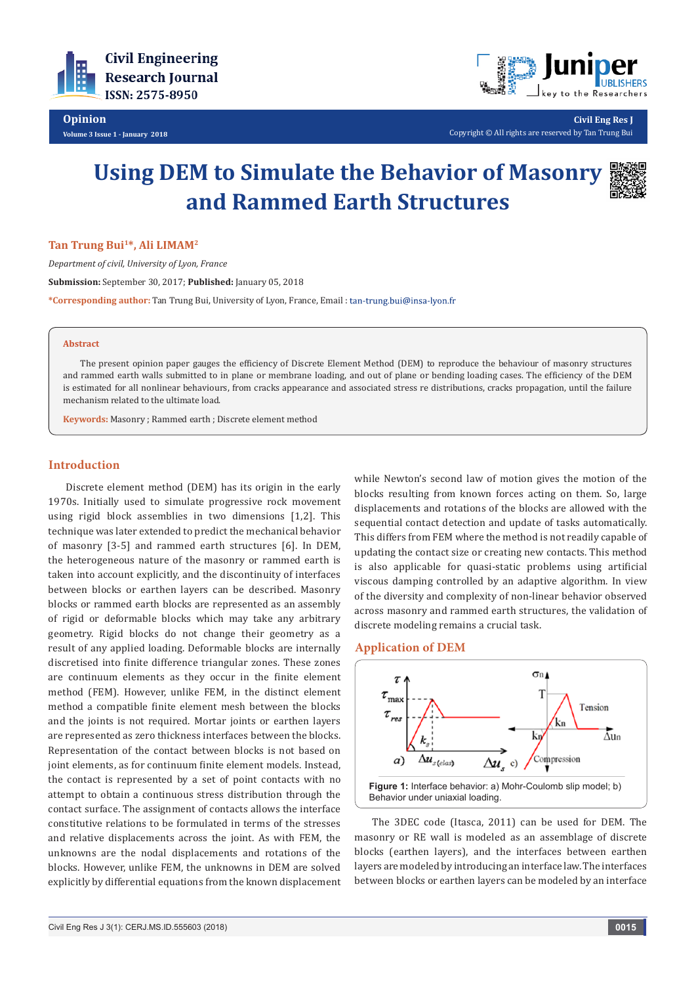



**Civil Eng Res J** Copyright © All rights are reserved by Tan Trung Bui

# **Using DEM to Simulate the Behavior of Masonry and Rammed Earth Structures**



## Tan Trung Bui<sup>1\*</sup>, Ali LIMAM<sup>2</sup>

*Department of civil, University of Lyon, France* **Submission:** September 30, 2017; **Published:** January 05, 2018 **\*Corresponding author:** Tan Trung Bui, University of Lyon, France, Email :

#### **Abstract**

The present opinion paper gauges the efficiency of Discrete Element Method (DEM) to reproduce the behaviour of masonry structures and rammed earth walls submitted to in plane or membrane loading, and out of plane or bending loading cases. The efficiency of the DEM is estimated for all nonlinear behaviours, from cracks appearance and associated stress re distributions, cracks propagation, until the failure mechanism related to the ultimate load.

**Keywords:** Masonry ; Rammed earth ; Discrete element method

## **Introduction**

Discrete element method (DEM) has its origin in the early 1970s. Initially used to simulate progressive rock movement using rigid block assemblies in two dimensions [1,2]. This technique was later extended to predict the mechanical behavior of masonry [3-5] and rammed earth structures [6]. In DEM, the heterogeneous nature of the masonry or rammed earth is taken into account explicitly, and the discontinuity of interfaces between blocks or earthen layers can be described. Masonry blocks or rammed earth blocks are represented as an assembly of rigid or deformable blocks which may take any arbitrary geometry. Rigid blocks do not change their geometry as a result of any applied loading. Deformable blocks are internally discretised into finite difference triangular zones. These zones are continuum elements as they occur in the finite element method (FEM). However, unlike FEM, in the distinct element method a compatible finite element mesh between the blocks and the joints is not required. Mortar joints or earthen layers are represented as zero thickness interfaces between the blocks. Representation of the contact between blocks is not based on joint elements, as for continuum finite element models. Instead, the contact is represented by a set of point contacts with no attempt to obtain a continuous stress distribution through the contact surface. The assignment of contacts allows the interface constitutive relations to be formulated in terms of the stresses and relative displacements across the joint. As with FEM, the unknowns are the nodal displacements and rotations of the blocks. However, unlike FEM, the unknowns in DEM are solved explicitly by differential equations from the known displacement while Newton's second law of motion gives the motion of the blocks resulting from known forces acting on them. So, large displacements and rotations of the blocks are allowed with the sequential contact detection and update of tasks automatically. This differs from FEM where the method is not readily capable of updating the contact size or creating new contacts. This method is also applicable for quasi-static problems using artificial viscous damping controlled by an adaptive algorithm. In view of the diversity and complexity of non-linear behavior observed across masonry and rammed earth structures, the validation of discrete modeling remains a crucial task.

# **Application of DEM**



The 3DEC code (Itasca, 2011) can be used for DEM. The masonry or RE wall is modeled as an assemblage of discrete blocks (earthen layers), and the interfaces between earthen layers are modeled by introducing an interface law. The interfaces between blocks or earthen layers can be modeled by an interface